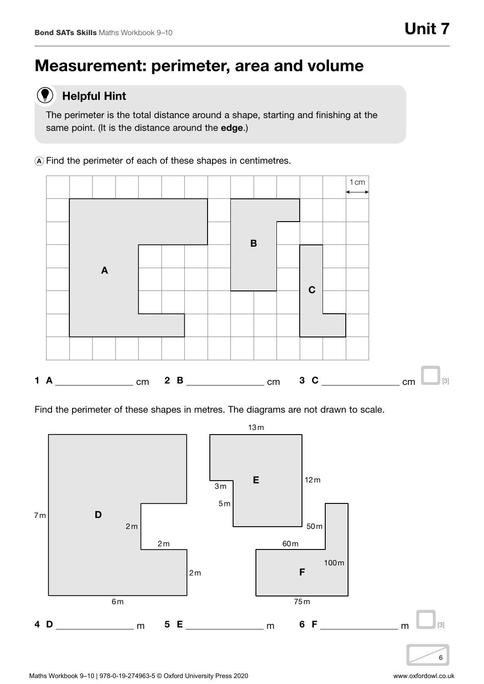# Measurement: perimeter, area and volume

#### Helpful Hint  $\left( \color{red}\blacklozenge\color{black}\right)$

The perimeter is the total distance around a shape, starting and finishing at the same point. (It is the distance around the edge.)

<sup>A</sup> Find the perimeter of each of these shapes in centimetres.



Find the perimeter of these shapes in metres. The diagrams are not drawn to scale.

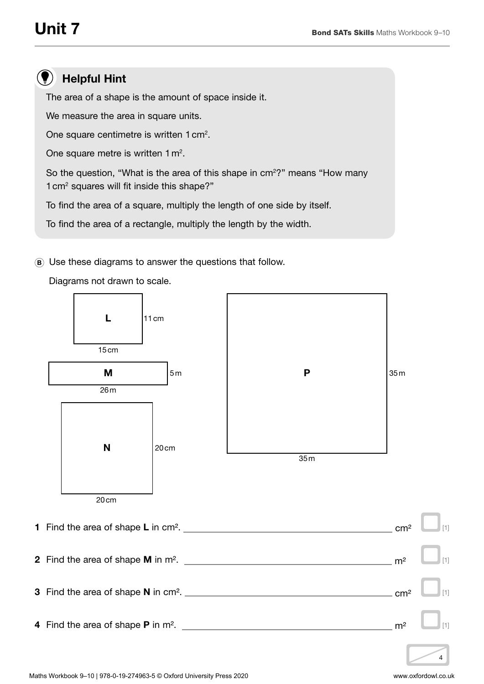## Helpful Hint

The area of a shape is the amount of space inside it.

We measure the area in square units.

One square centimetre is written 1 cm<sup>2</sup>.

One square metre is written  $1 \text{ m}^2$ .

So the question, "What is the area of this shape in  $cm<sup>2</sup>$ " means "How many 1 cm2 squares will fit inside this shape?"

To find the area of a square, multiply the length of one side by itself.

To find the area of a rectangle, multiply the length by the width.

<sup>B</sup> Use these diagrams to answer the questions that follow.

Diagrams not drawn to scale.

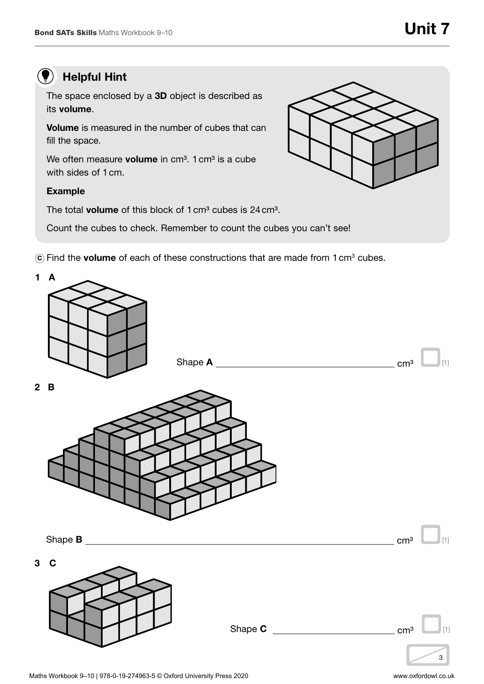## **(C)** Helpful Hint

The space enclosed by a 3D object is described as its volume.

Volume is measured in the number of cubes that can fill the space.

We often measure **volume** in  $cm<sup>3</sup>$ . 1  $cm<sup>3</sup>$  is a cube with sides of 1 cm.

### Example

The total **volume** of this block of 1 cm<sup>3</sup> cubes is 24 cm<sup>3</sup>.

Count the cubes to check. Remember to count the cubes you can't see!

 $\widehat{\mathbf{C}}$  Find the **volume** of each of these constructions that are made from 1 cm<sup>3</sup> cubes.



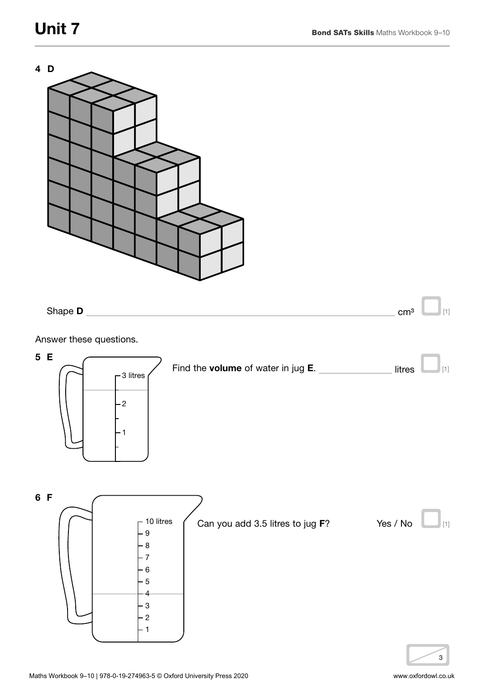

Answer these questions.